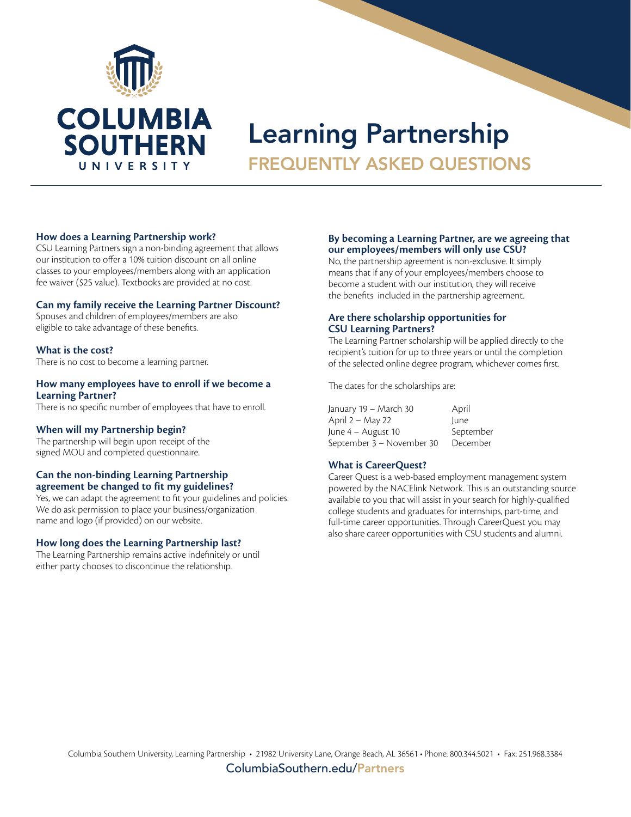

# Learning Partnership FREQUENTLY ASKED QUESTIONS

#### **How does a Learning Partnership work?**

CSU Learning Partners sign a non-binding agreement that allows our institution to offer a 10% tuition discount on all online classes to your employees/members along with an application fee waiver (\$25 value). Textbooks are provided at no cost.

### **Can my family receive the Learning Partner Discount?**

Spouses and children of employees/members are also eligible to take advantage of these benefits.

# **What is the cost?**

There is no cost to become a learning partner.

#### **How many employees have to enroll if we become a Learning Partner?**

There is no specific number of employees that have to enroll.

### **When will my Partnership begin?**

The partnership will begin upon receipt of the signed MOU and completed questionnaire.

# **Can the non-binding Learning Partnership agreement be changed to fit my guidelines?**

Yes, we can adapt the agreement to fit your guidelines and policies. We do ask permission to place your business/organization name and logo (if provided) on our website.

### **How long does the Learning Partnership last?**

The Learning Partnership remains active indefinitely or until either party chooses to discontinue the relationship.

#### **By becoming a Learning Partner, are we agreeing that our employees/members will only use CSU?**

No, the partnership agreement is non-exclusive. It simply means that if any of your employees/members choose to become a student with our institution, they will receive the benefits included in the partnership agreement.

# **Are there scholarship opportunities for CSU Learning Partners?**

The Learning Partner scholarship will be applied directly to the recipient's tuition for up to three years or until the completion of the selected online degree program, whichever comes first.

The dates for the scholarships are:

January 19 – March 30 April April 2 – May 22 June June 4 – August 10 September September 3 – November 30 December

# **What is CareerQuest?**

Career Quest is a web-based employment management system powered by the NACElink Network. This is an outstanding source available to you that will assist in your search for highly-qualified college students and graduates for internships, part-time, and full-time career opportunities. Through CareerQuest you may also share career opportunities with CSU students and alumni.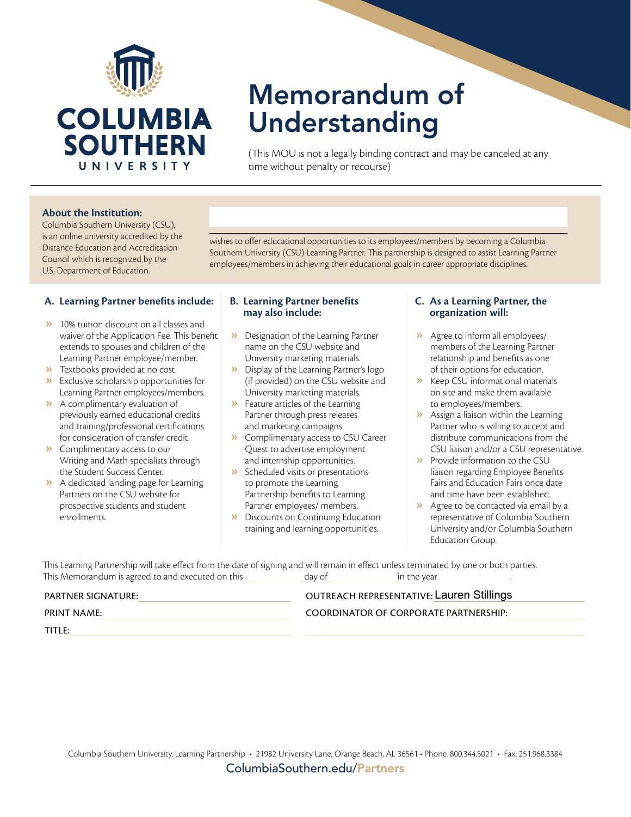

# Memorandum of Understanding

(This MOU is not a legally binding contract and may be canceled at any time without penalty or recourse)

#### **About the Institution:**

Columbia Southern University (CSU), is an online university accredited by the Distance Education and Accreditation Council which is recognized by the U.S. Department of Education.

wishes to offer educational opportunities to its employees/members by becoming a Columbia Southern University (CSU) Learning Partner. This partnership is designed to assist Learning Partner employees/members in achieving their educational goals in career appropriate disciplines.

### **A. Learning Partner benefits include:**

- **»** 10% tuition discount on all classes and waiver of the Application Fee. This benefit extends to spouses and children of the Learning Partner employee/member.
- **»** Textbooks provided at no cost.
- **»** Exclusive scholarship opportunities for Learning Partner employees/members.
- **»** A complimentary evaluation of previously earned educational credits and training/professional certifications for consideration of transfer credit.
- **»** Complimentary access to our Writing and Math specialists through the Student Success Center.
- **»** A dedicated landing page for Learning Partners on the CSU website for prospective students and student enrollments.

#### **B. Learning Partner benefits may also include:**

- **»** Designation of the Learning Partner name on the CSU website and University marketing materials.
- **»** Display of the Learning Partner's logo (if provided) on the CSU website and University marketing materials.
- **»** Feature articles of the Learning Partner through press releases and marketing campaigns.
- **»** Complimentary access to CSU Career Quest to advertise employment and internship opportunities.
- **»** Scheduled visits or presentations to promote the Learning Partnership benefits to Learning Partner employees/ members.
- **»** Discounts on Continuing Education training and learning opportunities.

#### **C. As a Learning Partner, the organization will:**

- **»** Agree to inform all employees/ members of the Learning Partner relationship and benefits as one of their options for education.
- **»** Keep CSU informational materials on site and make them available to employees/members.
- **»** Assign a liaison within the Learning Partner who is willing to accept and distribute communications from the CSU liaison and/or a CSU representative.
- **»** Provide information to the CSU liaison regarding Employee Benefits Fairs and Education Fairs once date and time have been established.
- **»** Agree to be contacted via email by a representative of Columbia Southern University and/or Columbia Southern Education Group.

This Learning Partnership will take effect from the date of signing and will remain in effect unless terminated by one or both parties. This Memorandum is agreed to and executed on this day of in the year in the year

| PARTNER SIGNATURE: | <b>OUTREACH REPRESENTATIVE: Lauren Stillings</b> |
|--------------------|--------------------------------------------------|
| PRINT NAME:        | COORDINATOR OF CORPORATE PARTNERSHIP:            |
| TITLE:             |                                                  |
|                    |                                                  |